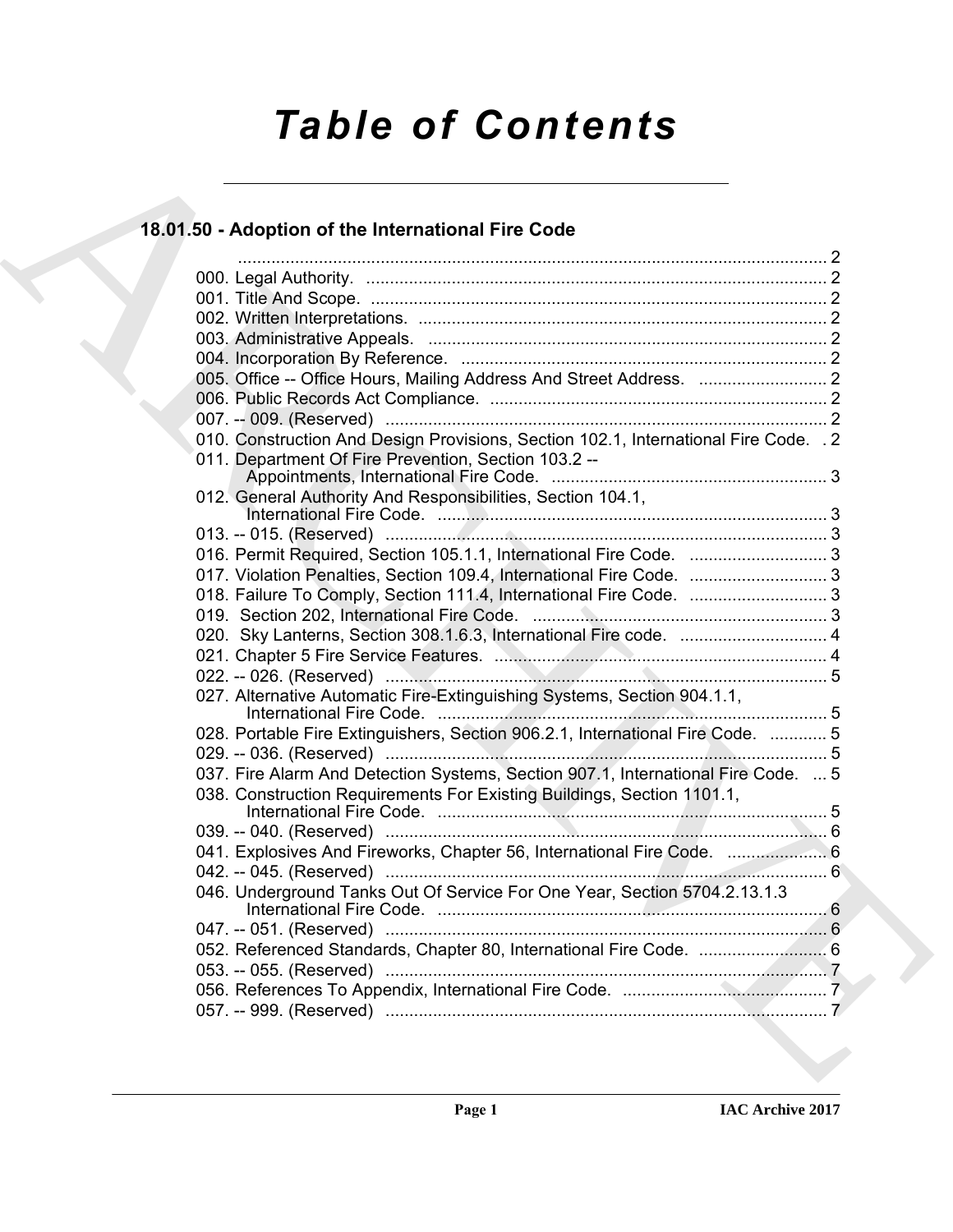# *Table of Contents*

# **18.01.50 - Adoption of the International Fire Code**

| 18.01.50 - Adoption of the International Fire Code                                                                                           |  |
|----------------------------------------------------------------------------------------------------------------------------------------------|--|
|                                                                                                                                              |  |
|                                                                                                                                              |  |
|                                                                                                                                              |  |
|                                                                                                                                              |  |
|                                                                                                                                              |  |
|                                                                                                                                              |  |
|                                                                                                                                              |  |
|                                                                                                                                              |  |
| 010. Construction And Design Provisions, Section 102.1, International Fire Code. . 2<br>011. Department Of Fire Prevention, Section 103.2 -- |  |
|                                                                                                                                              |  |
| 012. General Authority And Responsibilities, Section 104.1,                                                                                  |  |
|                                                                                                                                              |  |
|                                                                                                                                              |  |
| 016. Permit Required, Section 105.1.1, International Fire Code.  3                                                                           |  |
| 017. Violation Penalties, Section 109.4, International Fire Code.  3<br>018. Failure To Comply, Section 111.4, International Fire Code.  3   |  |
|                                                                                                                                              |  |
| 020. Sky Lanterns, Section 308.1.6.3, International Fire code.  4                                                                            |  |
|                                                                                                                                              |  |
|                                                                                                                                              |  |
| 027. Alternative Automatic Fire-Extinguishing Systems, Section 904.1.1,                                                                      |  |
| 028. Portable Fire Extinguishers, Section 906.2.1, International Fire Code.  5                                                               |  |
|                                                                                                                                              |  |
| 037. Fire Alarm And Detection Systems, Section 907.1, International Fire Code.  5                                                            |  |
| 038. Construction Requirements For Existing Buildings, Section 1101.1,                                                                       |  |
|                                                                                                                                              |  |
| 041. Explosives And Fireworks, Chapter 56, International Fire Code.  6                                                                       |  |
|                                                                                                                                              |  |
| 046. Underground Tanks Out Of Service For One Year, Section 5704.2.13.1.3                                                                    |  |
|                                                                                                                                              |  |
|                                                                                                                                              |  |
|                                                                                                                                              |  |
|                                                                                                                                              |  |
|                                                                                                                                              |  |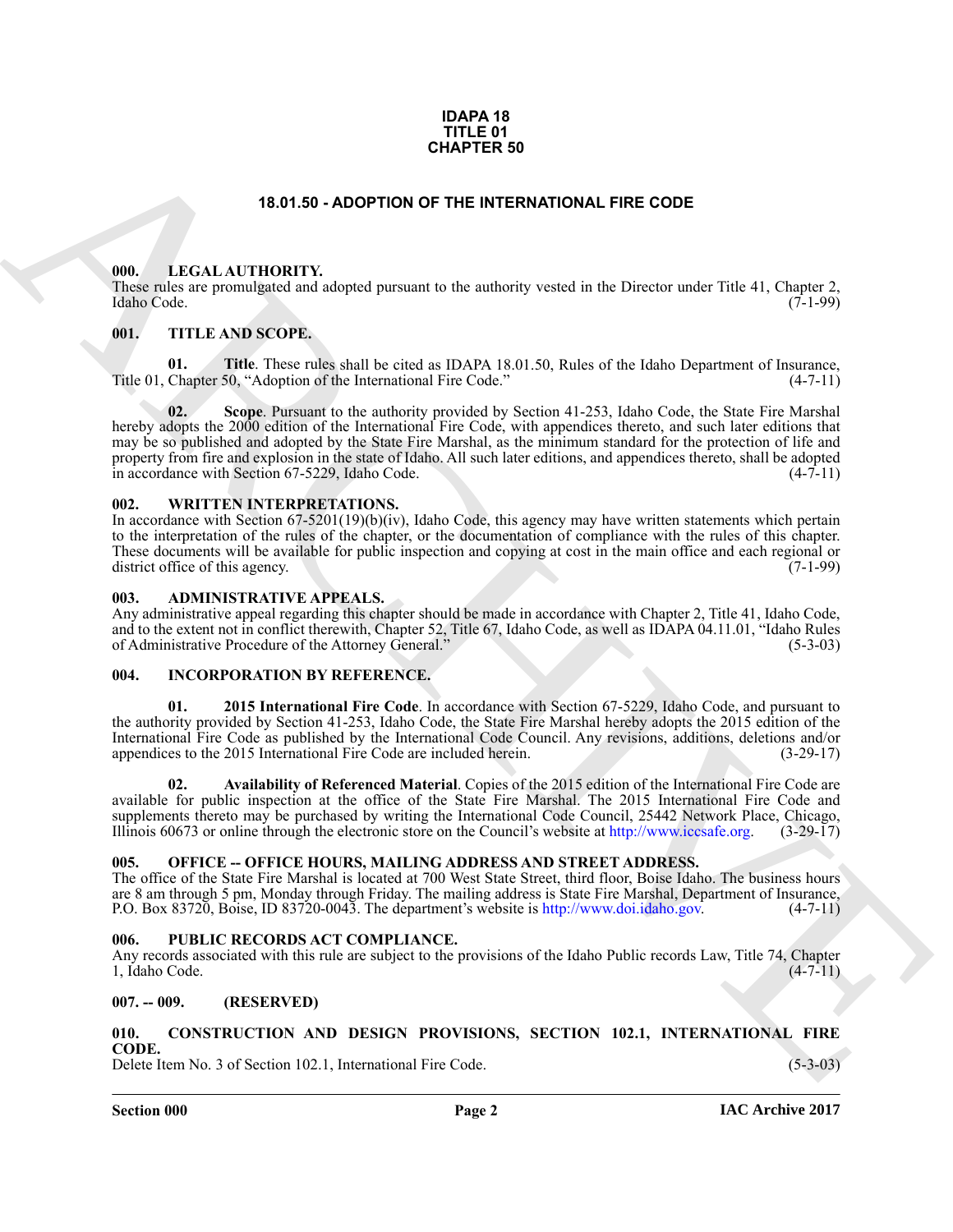### **IDAPA 18 TITLE 01 CHAPTER 50**

# **18.01.50 - ADOPTION OF THE INTERNATIONAL FIRE CODE**

# <span id="page-1-2"></span><span id="page-1-1"></span><span id="page-1-0"></span>**000. LEGAL AUTHORITY.**

These rules are promulgated and adopted pursuant to the authority vested in the Director under Title 41, Chapter 2, Idaho Code. (7-1-99) Idaho Code. (7-1-99)

# <span id="page-1-3"></span>**001. TITLE AND SCOPE.**

**01.** Title. These rules shall be cited as IDAPA 18.01.50, Rules of the Idaho Department of Insurance, Chapter 50. "Adoption of the International Fire Code." (4-7-11) Title 01, Chapter 50, "Adoption of the International Fire Code."

**15.01.50 - ADOPTION OF THE INTERNATIONAL FIRE CODE<br>
(M).** LEGAL AUTIDONTY shaped parsons to the subsets) vested in the Director under Title 41. Captural 16.<br>
(M). THE ANS SCOPE.<br>
(M). THE ANS SCOPE.<br>
(M). THE ANS SCOPE.<br> **02. Scope**. Pursuant to the authority provided by Section 41-253, Idaho Code, the State Fire Marshal hereby adopts the 2000 edition of the International Fire Code, with appendices thereto, and such later editions that may be so published and adopted by the State Fire Marshal, as the minimum standard for the protection of life and property from fire and explosion in the state of Idaho. All such later editions, and appendices thereto, shall be adopted<br>in accordance with Section 67-5229. Idaho Code. (4-7-11) in accordance with Section 67-5229, Idaho Code.

# <span id="page-1-4"></span>**002. WRITTEN INTERPRETATIONS.**

In accordance with Section 67-5201(19)(b)(iv), Idaho Code, this agency may have written statements which pertain to the interpretation of the rules of the chapter, or the documentation of compliance with the rules of this chapter. These documents will be available for public inspection and copying at cost in the main office and each regional or district office of this agency. district office of this agency.

# <span id="page-1-5"></span>**003. ADMINISTRATIVE APPEALS.**

Any administrative appeal regarding this chapter should be made in accordance with Chapter 2, Title 41, Idaho Code, and to the extent not in conflict therewith, Chapter 52, Title 67, Idaho Code, as well as IDAPA 04.11.01, "Idaho Rules of Administrative Procedure of the Attorney General." (5-3-03)

# <span id="page-1-11"></span><span id="page-1-6"></span>**004. INCORPORATION BY REFERENCE.**

<span id="page-1-12"></span>**01. 2015 International Fire Code**. In accordance with Section 67-5229, Idaho Code, and pursuant to the authority provided by Section 41-253, Idaho Code, the State Fire Marshal hereby adopts the 2015 edition of the International Fire Code as published by the International Code Council. Any revisions, additions, deletions and/or appendices to the 2015 International Fire Code are included herein. (3-29-17) appendices to the 2015 International Fire Code are included herein.

<span id="page-1-13"></span>**02. Availability of Referenced Material**. Copies of the 2015 edition of the International Fire Code are available for public inspection at the office of the State Fire Marshal. The 2015 International Fire Code and supplements thereto may be purchased by writing the International Code Council, 25442 Network Place, Chicago, Illinois 60673 or online through the electronic store on the Council's website at http://www.iccsafe.org. (3-29-17)

# <span id="page-1-7"></span>**005. OFFICE -- OFFICE HOURS, MAILING ADDRESS AND STREET ADDRESS.**

The office of the State Fire Marshal is located at 700 West State Street, third floor, Boise Idaho. The business hours are 8 am through 5 pm, Monday through Friday. The mailing address is State Fire Marshal, Department of Insurance, P.O. Box 83720, Boise, ID 83720-0043. The department's website is http://www.doi.jdaho.gov. (4-7-11) P.O. Box 83720, Boise, ID 83720-0043. The department's website is http://www.doi.idaho.gov.

# <span id="page-1-8"></span>**006. PUBLIC RECORDS ACT COMPLIANCE.**

Any records associated with this rule are subject to the provisions of the Idaho Public records Law, Title 74, Chapter 1, Idaho Code. (4-7-11)

# <span id="page-1-9"></span>**007. -- 009. (RESERVED)**

<span id="page-1-10"></span>**010. CONSTRUCTION AND DESIGN PROVISIONS, SECTION 102.1, INTERNATIONAL FIRE CODE.**

Delete Item No. 3 of Section 102.1, International Fire Code. (5-3-03)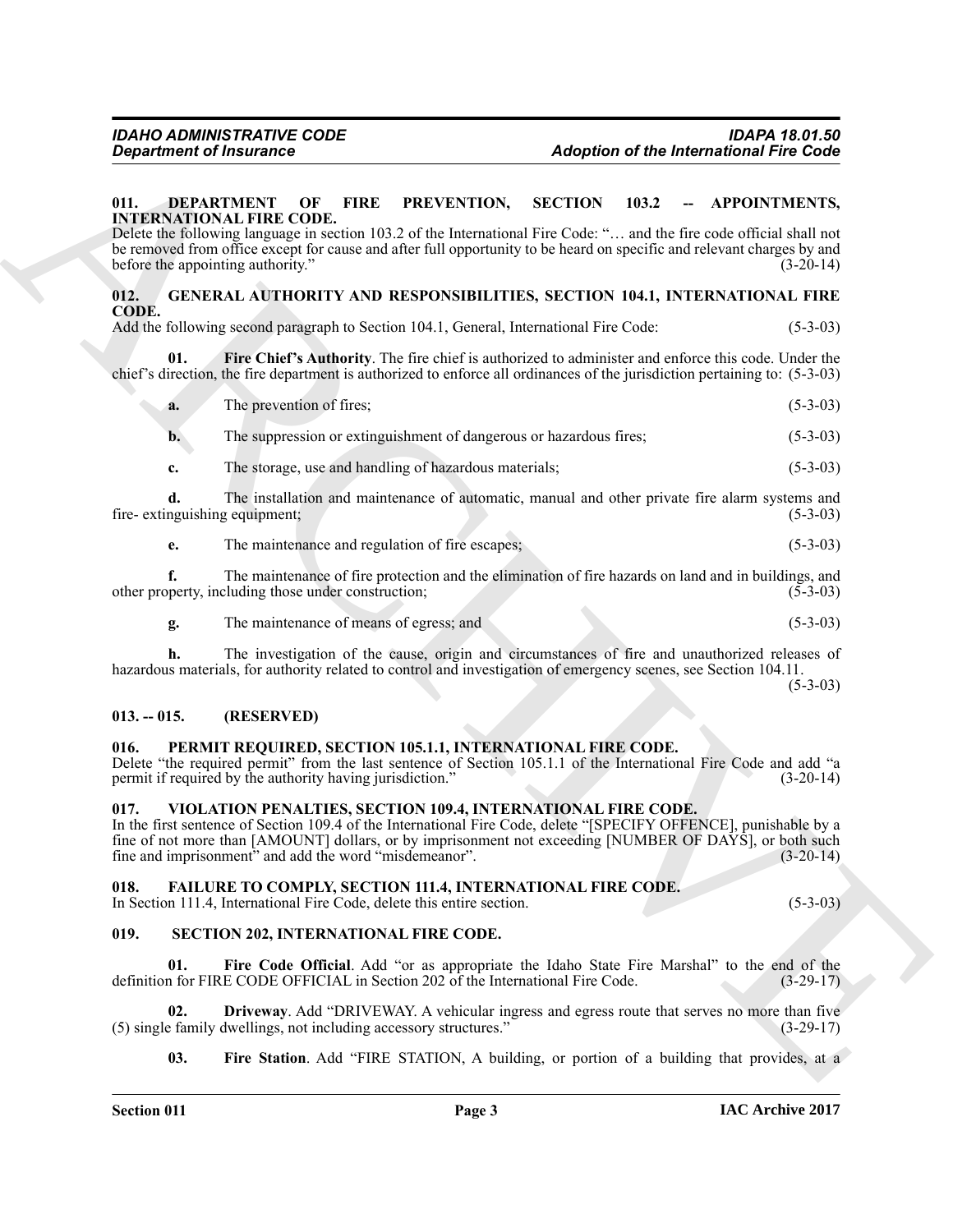### <span id="page-2-7"></span><span id="page-2-0"></span>**011. DEPARTMENT OF FIRE PREVENTION, SECTION 103.2 -- APPOINTMENTS, INTERNATIONAL FIRE CODE.**

# <span id="page-2-10"></span><span id="page-2-9"></span><span id="page-2-1"></span>**012. GENERAL AUTHORITY AND RESPONSIBILITIES, SECTION 104.1, INTERNATIONAL FIRE CODE.**

| <b>Department of Insurance</b>      |                                                                                                                                                                                                                                                                                                                                                                                  |                | <b>Adoption of the International Fire Code</b>     |
|-------------------------------------|----------------------------------------------------------------------------------------------------------------------------------------------------------------------------------------------------------------------------------------------------------------------------------------------------------------------------------------------------------------------------------|----------------|----------------------------------------------------|
| 011.                                | <b>DEPARTMENT</b><br>OF<br><b>FIRE</b><br>PREVENTION,<br><b>INTERNATIONAL FIRE CODE.</b><br>Delete the following language in section 103.2 of the International Fire Code: " and the fire code official shall not<br>be removed from office except for cause and after full opportunity to be heard on specific and relevant charges by and<br>before the appointing authority." | <b>SECTION</b> | 103.2<br><b>APPOINTMENTS,</b><br>--<br>$(3-20-14)$ |
| 012.                                | <b>GENERAL AUTHORITY AND RESPONSIBILITIES, SECTION 104.1, INTERNATIONAL FIRE</b>                                                                                                                                                                                                                                                                                                 |                |                                                    |
| CODE.                               | Add the following second paragraph to Section 104.1, General, International Fire Code:                                                                                                                                                                                                                                                                                           |                | $(5-3-03)$                                         |
| 01.                                 | Fire Chief's Authority. The fire chief is authorized to administer and enforce this code. Under the<br>chief's direction, the fire department is authorized to enforce all ordinances of the jurisdiction pertaining to: (5-3-03)                                                                                                                                                |                |                                                    |
| a.                                  | The prevention of fires;                                                                                                                                                                                                                                                                                                                                                         |                | $(5-3-03)$                                         |
| $\mathbf{b}$ .                      | The suppression or extinguishment of dangerous or hazardous fires;                                                                                                                                                                                                                                                                                                               |                | $(5-3-03)$                                         |
| c.                                  | The storage, use and handling of hazardous materials;                                                                                                                                                                                                                                                                                                                            |                | $(5-3-03)$                                         |
| d.<br>fire-extinguishing equipment; | The installation and maintenance of automatic, manual and other private fire alarm systems and                                                                                                                                                                                                                                                                                   |                | $(5-3-03)$                                         |
| e.                                  | The maintenance and regulation of fire escapes;                                                                                                                                                                                                                                                                                                                                  |                | $(5-3-03)$                                         |
| f.                                  | The maintenance of fire protection and the elimination of fire hazards on land and in buildings, and<br>other property, including those under construction;                                                                                                                                                                                                                      |                | $(5-3-03)$                                         |
| g.                                  | The maintenance of means of egress; and                                                                                                                                                                                                                                                                                                                                          |                | $(5-3-03)$                                         |
| h.                                  | The investigation of the cause, origin and circumstances of fire and unauthorized releases of<br>hazardous materials, for authority related to control and investigation of emergency scenes, see Section 104.11.                                                                                                                                                                |                | $(5-3-03)$                                         |
| $013. - 015.$                       | (RESERVED)                                                                                                                                                                                                                                                                                                                                                                       |                |                                                    |
| 016.                                | PERMIT REQUIRED, SECTION 105.1.1, INTERNATIONAL FIRE CODE.<br>Delete "the required permit" from the last sentence of Section 105.1.1 of the International Fire Code and add "a<br>permit if required by the authority having jurisdiction."                                                                                                                                      |                | $(3-20-14)$                                        |
| 017.                                | VIOLATION PENALTIES, SECTION 109.4, INTERNATIONAL FIRE CODE.<br>In the first sentence of Section 109.4 of the International Fire Code, delete "[SPECIFY OFFENCE], punishable by a<br>fine of not more than [AMOUNT] dollars, or by imprisonment not exceeding [NUMBER OF DAYS], or both such<br>fine and imprisonment" and add the word "misdemeanor".                           |                | $(3-20-14)$                                        |
| 018.                                | FAILURE TO COMPLY, SECTION 111.4, INTERNATIONAL FIRE CODE.<br>In Section 111.4, International Fire Code, delete this entire section.                                                                                                                                                                                                                                             |                | $(5-3-03)$                                         |
| 019.                                | SECTION 202, INTERNATIONAL FIRE CODE.                                                                                                                                                                                                                                                                                                                                            |                |                                                    |
| 01.                                 | Fire Code Official. Add "or as appropriate the Idaho State Fire Marshal" to the end of the<br>definition for FIRE CODE OFFICIAL in Section 202 of the International Fire Code.                                                                                                                                                                                                   |                | $(3-29-17)$                                        |
| 02.                                 | Driveway. Add "DRIVEWAY. A vehicular ingress and egress route that serves no more than five<br>(5) single family dwellings, not including accessory structures."                                                                                                                                                                                                                 |                | $(3-29-17)$                                        |
|                                     |                                                                                                                                                                                                                                                                                                                                                                                  |                |                                                    |

# <span id="page-2-2"></span>**013. -- 015. (RESERVED)**

# <span id="page-2-11"></span><span id="page-2-3"></span>**016. PERMIT REQUIRED, SECTION 105.1.1, INTERNATIONAL FIRE CODE.**

# <span id="page-2-16"></span><span id="page-2-4"></span>**017. VIOLATION PENALTIES, SECTION 109.4, INTERNATIONAL FIRE CODE.**

# <span id="page-2-8"></span><span id="page-2-5"></span>**018. FAILURE TO COMPLY, SECTION 111.4, INTERNATIONAL FIRE CODE.**

# <span id="page-2-15"></span><span id="page-2-14"></span><span id="page-2-13"></span><span id="page-2-12"></span><span id="page-2-6"></span>**019. SECTION 202, INTERNATIONAL FIRE CODE.**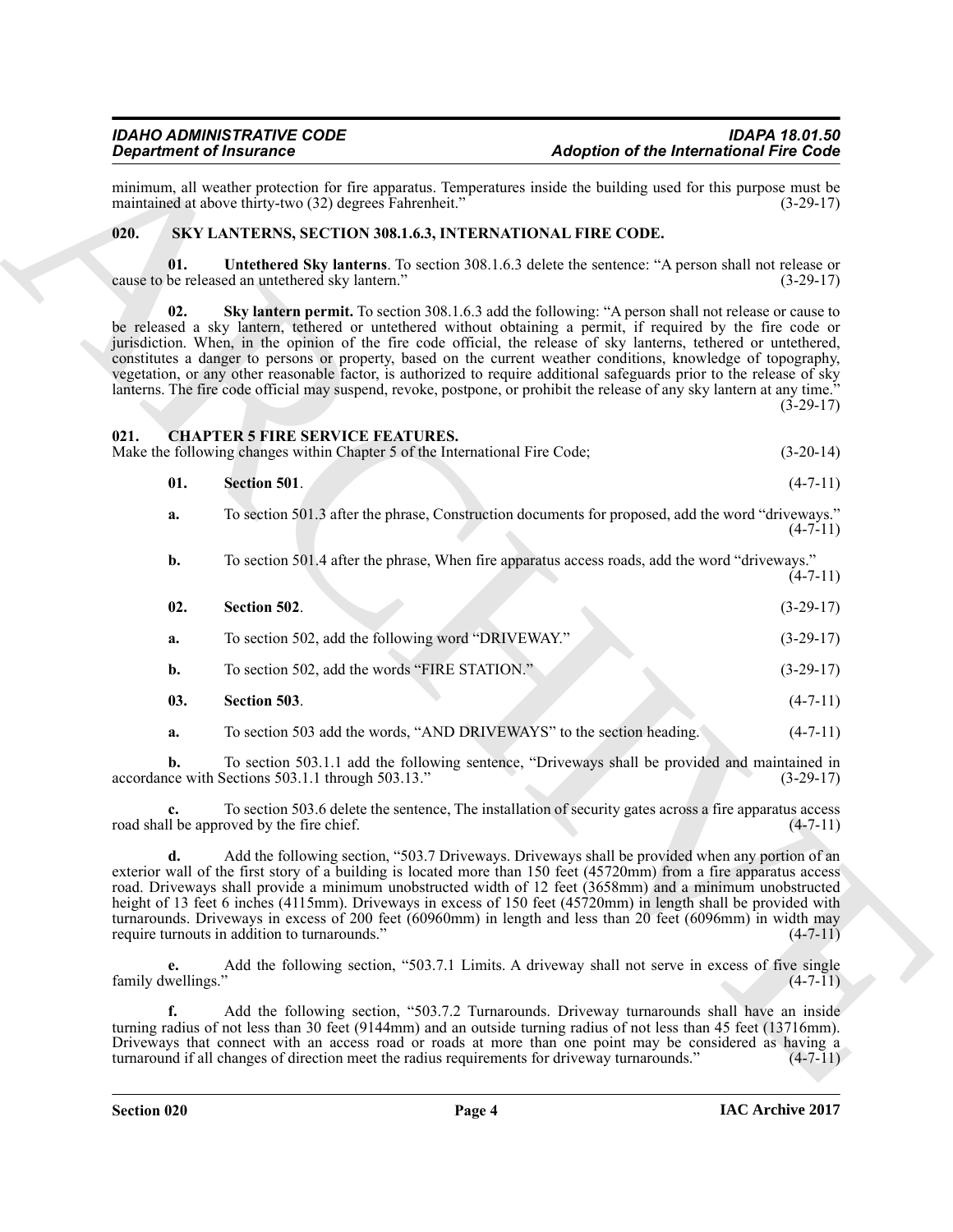minimum, all weather protection for fire apparatus. Temperatures inside the building used for this purpose must be maintained at above thirty-two (32) degrees Fahrenheit." (3-29-17) maintained at above thirty-two (32) degrees Fahrenheit."

# <span id="page-3-6"></span><span id="page-3-0"></span>**020. SKY LANTERNS, SECTION 308.1.6.3, INTERNATIONAL FIRE CODE.**

<span id="page-3-8"></span><span id="page-3-7"></span>**01. Untethered Sky lanterns**. To section 308.1.6.3 delete the sentence: "A person shall not release or cause to be released an untethered sky lantern."

Graphiton of the International Fire Color numerical and the International Fire Color numerical and the University of Color numerical and the University of Color numerical and the University of Color numerical and the Univ **02. Sky lantern permit.** To section 308.1.6.3 add the following: "A person shall not release or cause to be released a sky lantern, tethered or untethered without obtaining a permit, if required by the fire code or jurisdiction. When, in the opinion of the fire code official, the release of sky lanterns, tethered or untethered, constitutes a danger to persons or property, based on the current weather conditions, knowledge of topography, vegetation, or any other reasonable factor, is authorized to require additional safeguards prior to the release of sky lanterns. The fire code official may suspend, revoke, postpone, or prohibit the release of any sky lantern at any time." (3-29-17)

<span id="page-3-2"></span><span id="page-3-1"></span>

| 021. |  | <b>CHAPTER 5 FIRE SERVICE FEATURES.</b> |  |  |
|------|--|-----------------------------------------|--|--|
| .    |  |                                         |  |  |

Make the following changes within Chapter 5 of the International Fire Code; (3-20-14)

<span id="page-3-3"></span>

| 01. | Section 501. |  | $(4-7-11)$ |
|-----|--------------|--|------------|
|     |              |  |            |

**a.** To section 501.3 after the phrase, Construction documents for proposed, add the word "driveways."  $(4 - 7 - 11)$ 

<span id="page-3-4"></span>

| b.  | To section 501.4 after the phrase, When fire apparatus access roads, add the word "driveways." | $(4-7-11)$  |
|-----|------------------------------------------------------------------------------------------------|-------------|
| 02. | Section 502.                                                                                   | $(3-29-17)$ |
| а.  | To section 502, add the following word "DRIVEWAY."                                             | $(3-29-17)$ |

- <span id="page-3-5"></span>**b.** To section 502, add the words "FIRE STATION." (3-29-17)
- **03. Section 503**. (4-7-11)
	- **a.** To section 503 add the words, "AND DRIVEWAYS" to the section heading. (4-7-11)

**b.** To section 503.1.1 add the following sentence, "Driveways shall be provided and maintained in ce with Sections 503.1.1 through 503.13." (3-29-17) accordance with Sections 503.1.1 through 503.13."

**c.** To section 503.6 delete the sentence, The installation of security gates across a fire apparatus access road shall be approved by the fire chief. (4-7-11)

**d.** Add the following section, "503.7 Driveways. Driveways shall be provided when any portion of an exterior wall of the first story of a building is located more than 150 feet (45720mm) from a fire apparatus access road. Driveways shall provide a minimum unobstructed width of 12 feet (3658mm) and a minimum unobstructed height of 13 feet 6 inches (4115mm). Driveways in excess of 150 feet (45720mm) in length shall be provided with turnarounds. Driveways in excess of 200 feet (60960mm) in length and less than 20 feet (6096mm) in width may require turnouts in addition to turnarounds." (4-7-11)

**e.** Add the following section, "503.7.1 Limits. A driveway shall not serve in excess of five single  $f_{\text{amily}}$  dwellings."  $(4-7-1)$ 

**f.** Add the following section, "503.7.2 Turnarounds. Driveway turnarounds shall have an inside turning radius of not less than 30 feet (9144mm) and an outside turning radius of not less than 45 feet (13716mm). Driveways that connect with an access road or roads at more than one point may be considered as having a turnaround if all changes of direction meet the radius requirements for driveway turnarounds." (4-7-11) turnaround if all changes of direction meet the radius requirements for driveway turnarounds."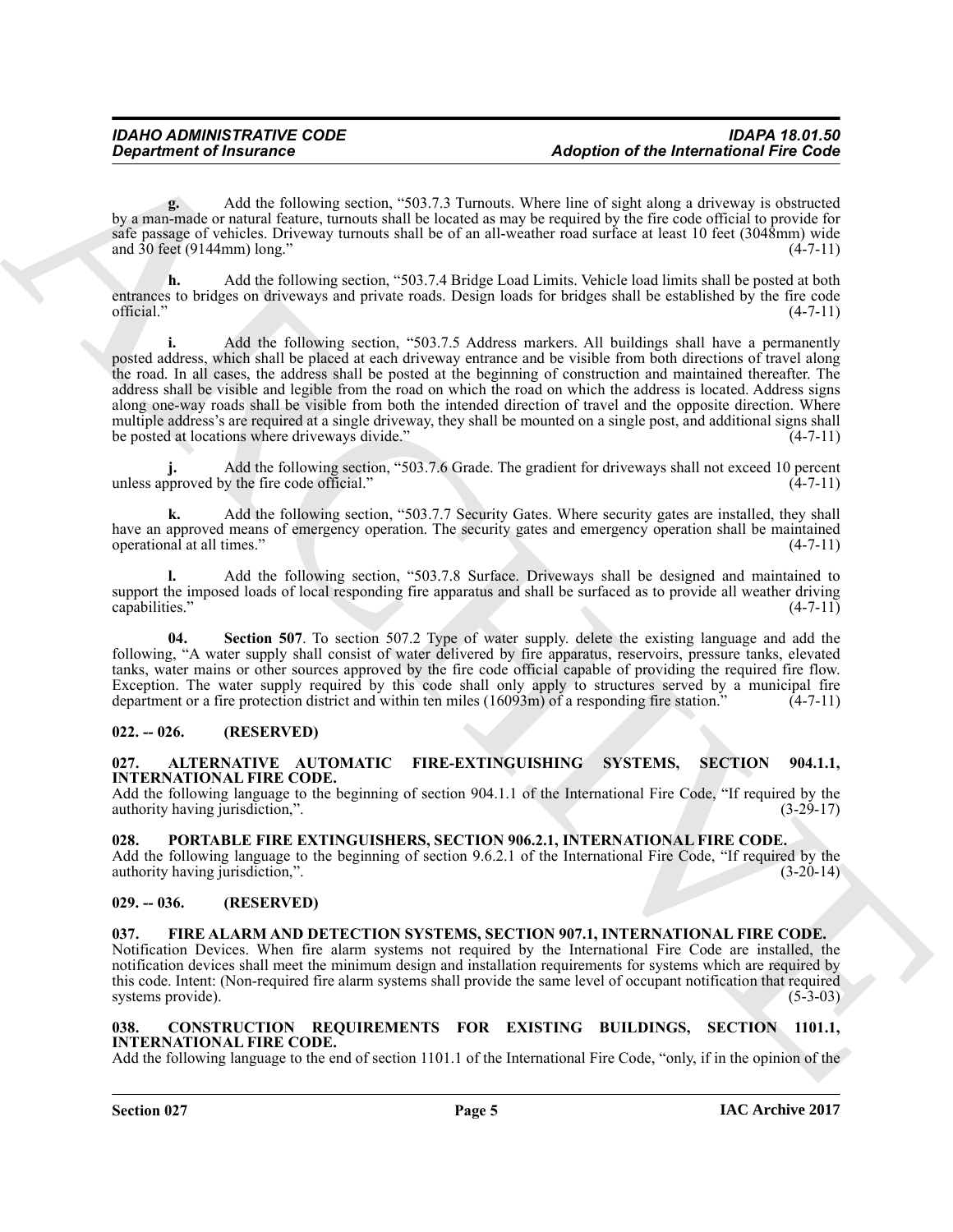**g.** Add the following section, "503.7.3 Turnouts. Where line of sight along a driveway is obstructed by a man-made or natural feature, turnouts shall be located as may be required by the fire code official to provide for safe passage of vehicles. Driveway turnouts shall be of an all-weather road surface at least 10 feet (3048mm) wide and  $30 \text{ feet } (9144 \text{mm}) \text{ long.}$ " (4-7-11)

**h.** Add the following section, "503.7.4 Bridge Load Limits. Vehicle load limits shall be posted at both entrances to bridges on driveways and private roads. Design loads for bridges shall be established by the fire code official." (4-7-11)

**Expansion of Insurance Cases and the University Case of the International Fire Gode<br>
Vg manifesto contains the contains of the University Case is a contained by the two states of the University Case is a change of the Un i.** Add the following section, "503.7.5 Address markers. All buildings shall have a permanently posted address, which shall be placed at each driveway entrance and be visible from both directions of travel along the road. In all cases, the address shall be posted at the beginning of construction and maintained thereafter. The address shall be visible and legible from the road on which the road on which the address is located. Address signs along one-way roads shall be visible from both the intended direction of travel and the opposite direction. Where multiple address's are required at a single driveway, they shall be mounted on a single post, and additional signs shall<br>be posted at locations where driveways divide." be posted at locations where driveways divide."

Add the following section, "503.7.6 Grade. The gradient for driveways shall not exceed 10 percent w the fire code official." (4-7-11) unless approved by the fire code official."

**k.** Add the following section, "503.7.7 Security Gates. Where security gates are installed, they shall have an approved means of emergency operation. The security gates and emergency operation shall be maintained operational at all times."

**l.** Add the following section, "503.7.8 Surface. Driveways shall be designed and maintained to support the imposed loads of local responding fire apparatus and shall be surfaced as to provide all weather driving capabilities." (4-7-11) capabilities." (4-7-11)

**04. Section 507**. To section 507.2 Type of water supply. delete the existing language and add the following, "A water supply shall consist of water delivered by fire apparatus, reservoirs, pressure tanks, elevated tanks, water mains or other sources approved by the fire code official capable of providing the required fire flow. Exception. The water supply required by this code shall only apply to structures served by a municipal fire department or a fire protection district and within ten miles  $(16093m)$  of a responding fire station."  $(4-7-11)$ 

# <span id="page-4-0"></span>**022. -- 026. (RESERVED)**

# <span id="page-4-6"></span><span id="page-4-1"></span>**027. ALTERNATIVE AUTOMATIC FIRE-EXTINGUISHING SYSTEMS, SECTION 904.1.1, INTERNATIONAL FIRE CODE.**

Add the following language to the beginning of section 904.1.1 of the International Fire Code, "If required by the authority having jurisdiction.". (3-29-17) authority having jurisdiction,".

# <span id="page-4-10"></span><span id="page-4-2"></span>**028. PORTABLE FIRE EXTINGUISHERS, SECTION 906.2.1, INTERNATIONAL FIRE CODE.**

Add the following language to the beginning of section 9.6.2.1 of the International Fire Code, "If required by the authority having jurisdiction,". (3-20-14) authority having jurisdiction,".

# <span id="page-4-3"></span>**029. -- 036. (RESERVED)**

# <span id="page-4-9"></span><span id="page-4-8"></span><span id="page-4-4"></span>**037. FIRE ALARM AND DETECTION SYSTEMS, SECTION 907.1, INTERNATIONAL FIRE CODE.** Notification Devices. When fire alarm systems not required by the International Fire Code are installed, the notification devices shall meet the minimum design and installation requirements for systems which are required by this code. Intent: (Non-required fire alarm systems shall provide the same level of occupant notification that required systems provide). (5-3-03)

# <span id="page-4-7"></span><span id="page-4-5"></span>**038. CONSTRUCTION REQUIREMENTS FOR EXISTING BUILDINGS, SECTION 1101.1, INTERNATIONAL FIRE CODE.**

Add the following language to the end of section 1101.1 of the International Fire Code, "only, if in the opinion of the

systems provide).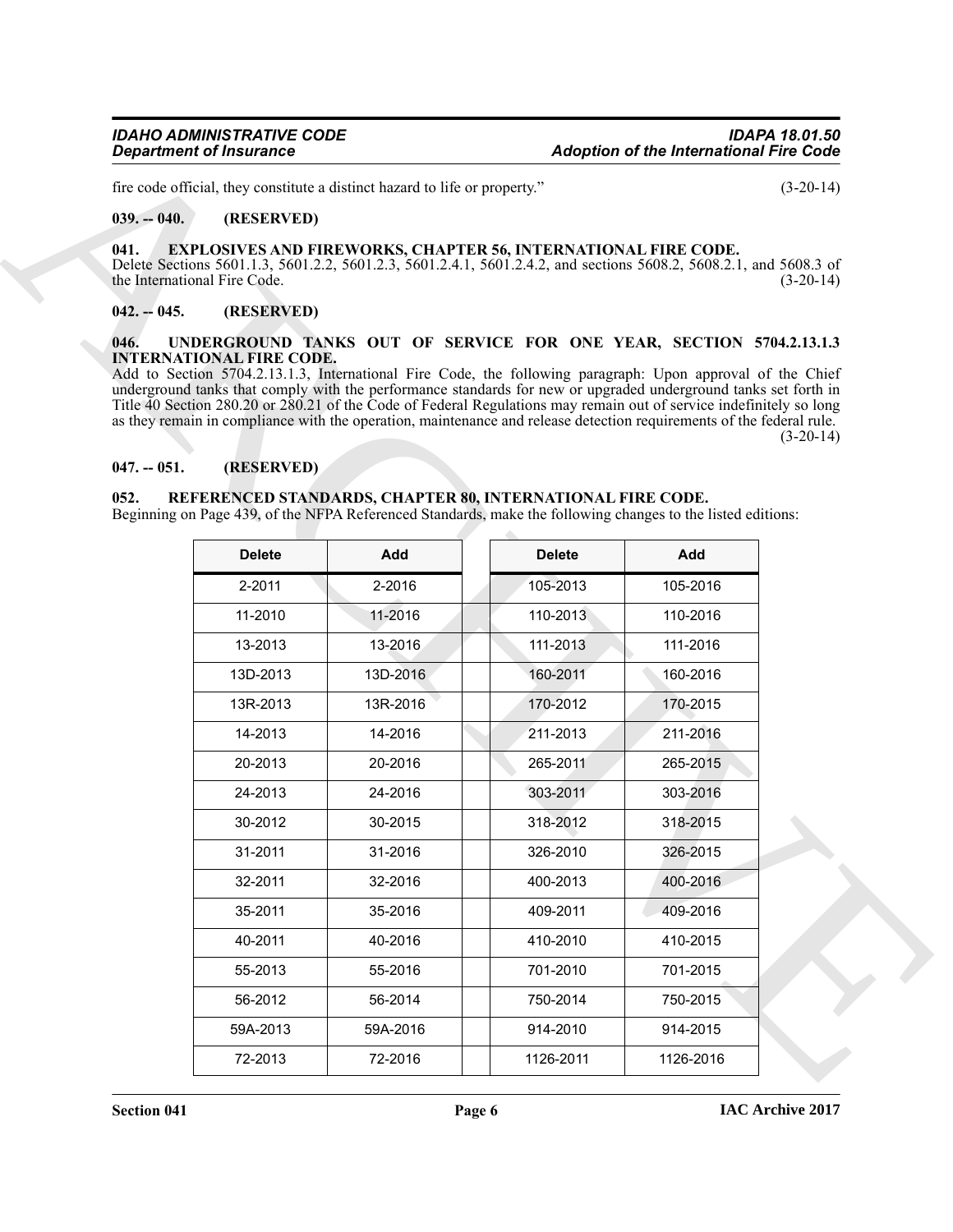# <span id="page-5-0"></span>**039. -- 040. (RESERVED)**

# <span id="page-5-6"></span><span id="page-5-1"></span>**041. EXPLOSIVES AND FIREWORKS, CHAPTER 56, INTERNATIONAL FIRE CODE.**

### <span id="page-5-2"></span>**042. -- 045. (RESERVED)**

# <span id="page-5-8"></span><span id="page-5-3"></span>**046. UNDERGROUND TANKS OUT OF SERVICE FOR ONE YEAR, SECTION 5704.2.13.1.3 INTERNATIONAL FIRE CODE.**

### <span id="page-5-4"></span>**047. -- 051. (RESERVED)**

### <span id="page-5-7"></span><span id="page-5-5"></span>**052. REFERENCED STANDARDS, CHAPTER 80, INTERNATIONAL FIRE CODE.**

| <b>Department of Insurance</b>                                              |                                 | <b>Adoption of the International Fire Code</b>                                                                                                                                                                                                                                                                                                                                                                                                                                                                                                       |               |          |             |
|-----------------------------------------------------------------------------|---------------------------------|------------------------------------------------------------------------------------------------------------------------------------------------------------------------------------------------------------------------------------------------------------------------------------------------------------------------------------------------------------------------------------------------------------------------------------------------------------------------------------------------------------------------------------------------------|---------------|----------|-------------|
| fire code official, they constitute a distinct hazard to life or property." |                                 |                                                                                                                                                                                                                                                                                                                                                                                                                                                                                                                                                      |               |          | $(3-20-14)$ |
| $039. - 040.$<br>(RESERVED)                                                 |                                 |                                                                                                                                                                                                                                                                                                                                                                                                                                                                                                                                                      |               |          |             |
| 041.                                                                        | the International Fire Code.    | <b>EXPLOSIVES AND FIREWORKS, CHAPTER 56, INTERNATIONAL FIRE CODE.</b><br>Delete Sections 5601.1.3, 5601.2.2, 5601.2.3, 5601.2.4.1, 5601.2.4.2, and sections 5608.2, 5608.2.1, and 5608.3 of                                                                                                                                                                                                                                                                                                                                                          |               |          | $(3-20-14)$ |
| $042. - 045.$                                                               | (RESERVED)                      |                                                                                                                                                                                                                                                                                                                                                                                                                                                                                                                                                      |               |          |             |
| 046.                                                                        | <b>INTERNATIONAL FIRE CODE.</b> | UNDERGROUND TANKS OUT OF SERVICE FOR ONE YEAR, SECTION 5704.2.13.1.3<br>Add to Section 5704.2.13.1.3, International Fire Code, the following paragraph: Upon approval of the Chief<br>underground tanks that comply with the performance standards for new or upgraded underground tanks set forth in<br>Title 40 Section 280.20 or 280.21 of the Code of Federal Regulations may remain out of service indefinitely so long<br>as they remain in compliance with the operation, maintenance and release detection requirements of the federal rule. |               |          | $(3-20-14)$ |
| $047. - 051.$                                                               | (RESERVED)                      |                                                                                                                                                                                                                                                                                                                                                                                                                                                                                                                                                      |               |          |             |
| 052.                                                                        |                                 | REFERENCED STANDARDS, CHAPTER 80, INTERNATIONAL FIRE CODE.<br>Beginning on Page 439, of the NFPA Referenced Standards, make the following changes to the listed editions:                                                                                                                                                                                                                                                                                                                                                                            |               |          |             |
|                                                                             |                                 |                                                                                                                                                                                                                                                                                                                                                                                                                                                                                                                                                      |               |          |             |
|                                                                             | <b>Delete</b>                   | Add                                                                                                                                                                                                                                                                                                                                                                                                                                                                                                                                                  | <b>Delete</b> | Add      |             |
|                                                                             | 2-2011                          | 2-2016                                                                                                                                                                                                                                                                                                                                                                                                                                                                                                                                               | 105-2013      | 105-2016 |             |
|                                                                             | 11-2010                         | 11-2016                                                                                                                                                                                                                                                                                                                                                                                                                                                                                                                                              | 110-2013      | 110-2016 |             |
|                                                                             | 13-2013                         | 13-2016                                                                                                                                                                                                                                                                                                                                                                                                                                                                                                                                              |               |          |             |
|                                                                             |                                 |                                                                                                                                                                                                                                                                                                                                                                                                                                                                                                                                                      | 111-2013      | 111-2016 |             |
|                                                                             | 13D-2013                        | 13D-2016                                                                                                                                                                                                                                                                                                                                                                                                                                                                                                                                             | 160-2011      | 160-2016 |             |
|                                                                             | 13R-2013                        | 13R-2016                                                                                                                                                                                                                                                                                                                                                                                                                                                                                                                                             | 170-2012      | 170-2015 |             |
|                                                                             | 14-2013                         | 14-2016                                                                                                                                                                                                                                                                                                                                                                                                                                                                                                                                              | 211-2013      | 211-2016 |             |
|                                                                             | 20-2013                         | 20-2016                                                                                                                                                                                                                                                                                                                                                                                                                                                                                                                                              | 265-2011      | 265-2015 |             |
|                                                                             | 24-2013                         | 24-2016                                                                                                                                                                                                                                                                                                                                                                                                                                                                                                                                              | 303-2011      | 303-2016 |             |
|                                                                             | 30-2012                         | 30-2015                                                                                                                                                                                                                                                                                                                                                                                                                                                                                                                                              | 318-2012      | 318-2015 |             |
|                                                                             | 31-2011                         | 31-2016                                                                                                                                                                                                                                                                                                                                                                                                                                                                                                                                              | 326-2010      | 326-2015 |             |
|                                                                             | 32-2011                         | 32-2016                                                                                                                                                                                                                                                                                                                                                                                                                                                                                                                                              | 400-2013      | 400-2016 |             |
|                                                                             | 35-2011                         | 35-2016                                                                                                                                                                                                                                                                                                                                                                                                                                                                                                                                              | 409-2011      | 409-2016 |             |
|                                                                             | 40-2011                         | 40-2016                                                                                                                                                                                                                                                                                                                                                                                                                                                                                                                                              | 410-2010      | 410-2015 |             |
|                                                                             | 55-2013                         | 55-2016                                                                                                                                                                                                                                                                                                                                                                                                                                                                                                                                              | 701-2010      | 701-2015 |             |
|                                                                             | 56-2012                         | 56-2014                                                                                                                                                                                                                                                                                                                                                                                                                                                                                                                                              | 750-2014      | 750-2015 |             |
|                                                                             | 59A-2013                        | 59A-2016                                                                                                                                                                                                                                                                                                                                                                                                                                                                                                                                             | 914-2010      | 914-2015 |             |

**Section 041 Page 6**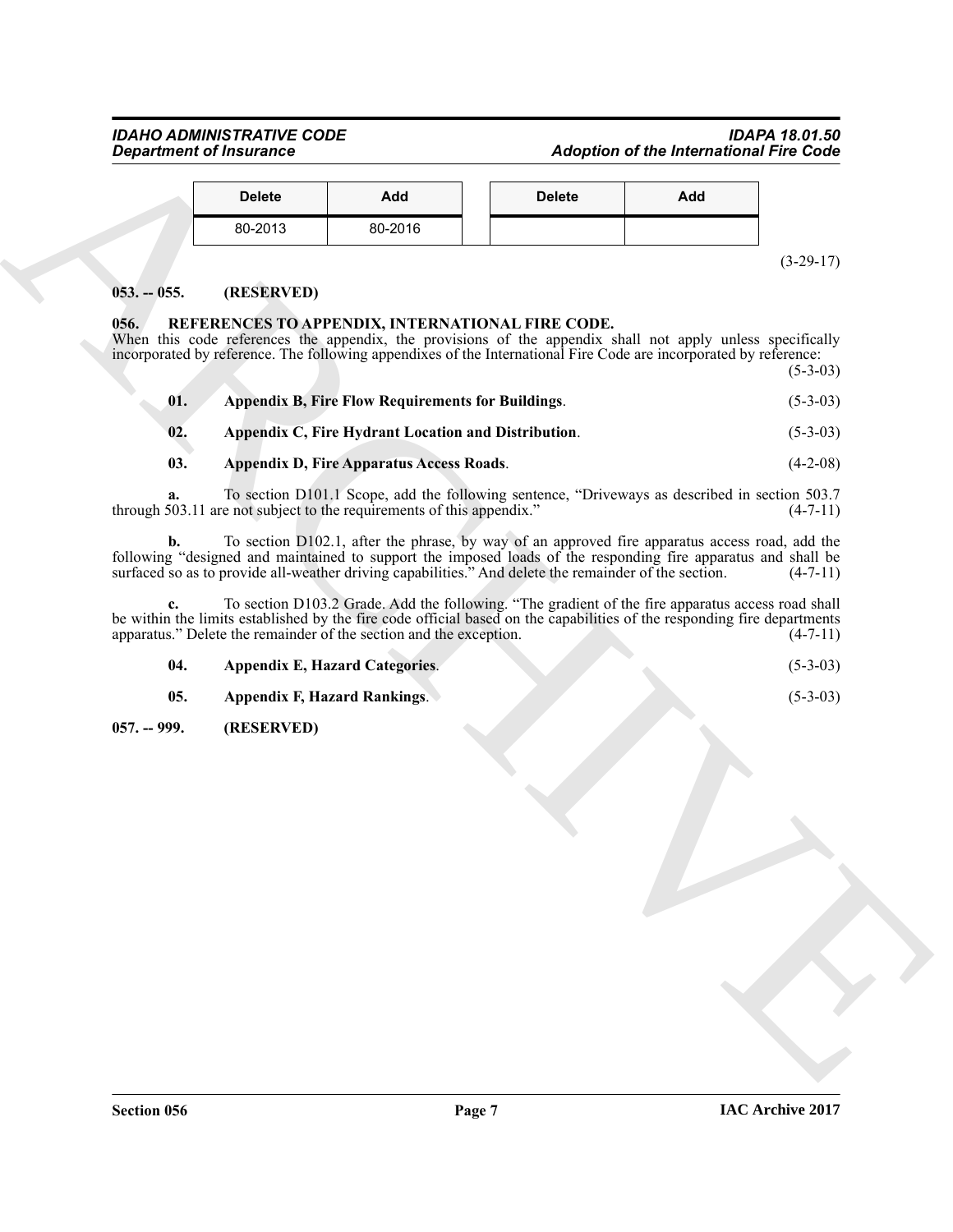# *IDAHO ADMINISTRATIVE CODE IDAPA 18.01.50* **Adoption of the International Fire Code**

| <b>Delete</b> | Add     | <b>Delete</b> | Add |
|---------------|---------|---------------|-----|
| 80-2013       | 80-2016 |               |     |

# <span id="page-6-0"></span>**053. -- 055. (RESERVED)**

# <span id="page-6-3"></span><span id="page-6-1"></span>**056. REFERENCES TO APPENDIX, INTERNATIONAL FIRE CODE.**

| Add<br><b>Delete</b><br><b>Delete</b><br>Add<br>80-2013<br>80-2016<br>$(3-29-17)$<br>(RESERVED)<br>$053. - 055.$<br>056.<br>REFERENCES TO APPENDIX, INTERNATIONAL FIRE CODE.<br>When this code references the appendix, the provisions of the appendix shall not apply unless specifically<br>incorporated by reference. The following appendixes of the International Fire Code are incorporated by reference:<br>$(5-3-03)$<br>01.<br><b>Appendix B, Fire Flow Requirements for Buildings.</b><br>$(5-3-03)$<br>Appendix C, Fire Hydrant Location and Distribution.<br>$(5-3-03)$<br>02.<br>03.<br><b>Appendix D, Fire Apparatus Access Roads.</b><br>$(4-2-08)$<br>To section D101.1 Scope, add the following sentence, "Driveways as described in section 503.7<br>a.<br>through 503.11 are not subject to the requirements of this appendix."<br>$(4-7-11)$<br>To section D102.1, after the phrase, by way of an approved fire apparatus access road, add the<br>b.<br>following "designed and maintained to support the imposed loads of the responding fire apparatus and shall be<br>surfaced so as to provide all-weather driving capabilities." And delete the remainder of the section.<br>$(4-7-11)$<br>To section D103.2 Grade. Add the following. "The gradient of the fire apparatus access road shall<br>c.<br>be within the limits established by the fire code official based on the capabilities of the responding fire departments<br>apparatus." Delete the remainder of the section and the exception.<br>$(4-7-11)$<br>04.<br><b>Appendix E, Hazard Categories.</b><br>$(5-3-03)$<br>05.<br>$(5-3-03)$<br><b>Appendix F, Hazard Rankings.</b><br>(RESERVED)<br>$057. - 999.$ |  |  |
|-----------------------------------------------------------------------------------------------------------------------------------------------------------------------------------------------------------------------------------------------------------------------------------------------------------------------------------------------------------------------------------------------------------------------------------------------------------------------------------------------------------------------------------------------------------------------------------------------------------------------------------------------------------------------------------------------------------------------------------------------------------------------------------------------------------------------------------------------------------------------------------------------------------------------------------------------------------------------------------------------------------------------------------------------------------------------------------------------------------------------------------------------------------------------------------------------------------------------------------------------------------------------------------------------------------------------------------------------------------------------------------------------------------------------------------------------------------------------------------------------------------------------------------------------------------------------------------------------------------------------------------------------------------------------------------------------------|--|--|
|                                                                                                                                                                                                                                                                                                                                                                                                                                                                                                                                                                                                                                                                                                                                                                                                                                                                                                                                                                                                                                                                                                                                                                                                                                                                                                                                                                                                                                                                                                                                                                                                                                                                                                     |  |  |
|                                                                                                                                                                                                                                                                                                                                                                                                                                                                                                                                                                                                                                                                                                                                                                                                                                                                                                                                                                                                                                                                                                                                                                                                                                                                                                                                                                                                                                                                                                                                                                                                                                                                                                     |  |  |
|                                                                                                                                                                                                                                                                                                                                                                                                                                                                                                                                                                                                                                                                                                                                                                                                                                                                                                                                                                                                                                                                                                                                                                                                                                                                                                                                                                                                                                                                                                                                                                                                                                                                                                     |  |  |
|                                                                                                                                                                                                                                                                                                                                                                                                                                                                                                                                                                                                                                                                                                                                                                                                                                                                                                                                                                                                                                                                                                                                                                                                                                                                                                                                                                                                                                                                                                                                                                                                                                                                                                     |  |  |
|                                                                                                                                                                                                                                                                                                                                                                                                                                                                                                                                                                                                                                                                                                                                                                                                                                                                                                                                                                                                                                                                                                                                                                                                                                                                                                                                                                                                                                                                                                                                                                                                                                                                                                     |  |  |
|                                                                                                                                                                                                                                                                                                                                                                                                                                                                                                                                                                                                                                                                                                                                                                                                                                                                                                                                                                                                                                                                                                                                                                                                                                                                                                                                                                                                                                                                                                                                                                                                                                                                                                     |  |  |
|                                                                                                                                                                                                                                                                                                                                                                                                                                                                                                                                                                                                                                                                                                                                                                                                                                                                                                                                                                                                                                                                                                                                                                                                                                                                                                                                                                                                                                                                                                                                                                                                                                                                                                     |  |  |
|                                                                                                                                                                                                                                                                                                                                                                                                                                                                                                                                                                                                                                                                                                                                                                                                                                                                                                                                                                                                                                                                                                                                                                                                                                                                                                                                                                                                                                                                                                                                                                                                                                                                                                     |  |  |
|                                                                                                                                                                                                                                                                                                                                                                                                                                                                                                                                                                                                                                                                                                                                                                                                                                                                                                                                                                                                                                                                                                                                                                                                                                                                                                                                                                                                                                                                                                                                                                                                                                                                                                     |  |  |
|                                                                                                                                                                                                                                                                                                                                                                                                                                                                                                                                                                                                                                                                                                                                                                                                                                                                                                                                                                                                                                                                                                                                                                                                                                                                                                                                                                                                                                                                                                                                                                                                                                                                                                     |  |  |
|                                                                                                                                                                                                                                                                                                                                                                                                                                                                                                                                                                                                                                                                                                                                                                                                                                                                                                                                                                                                                                                                                                                                                                                                                                                                                                                                                                                                                                                                                                                                                                                                                                                                                                     |  |  |
|                                                                                                                                                                                                                                                                                                                                                                                                                                                                                                                                                                                                                                                                                                                                                                                                                                                                                                                                                                                                                                                                                                                                                                                                                                                                                                                                                                                                                                                                                                                                                                                                                                                                                                     |  |  |
|                                                                                                                                                                                                                                                                                                                                                                                                                                                                                                                                                                                                                                                                                                                                                                                                                                                                                                                                                                                                                                                                                                                                                                                                                                                                                                                                                                                                                                                                                                                                                                                                                                                                                                     |  |  |
|                                                                                                                                                                                                                                                                                                                                                                                                                                                                                                                                                                                                                                                                                                                                                                                                                                                                                                                                                                                                                                                                                                                                                                                                                                                                                                                                                                                                                                                                                                                                                                                                                                                                                                     |  |  |
|                                                                                                                                                                                                                                                                                                                                                                                                                                                                                                                                                                                                                                                                                                                                                                                                                                                                                                                                                                                                                                                                                                                                                                                                                                                                                                                                                                                                                                                                                                                                                                                                                                                                                                     |  |  |
|                                                                                                                                                                                                                                                                                                                                                                                                                                                                                                                                                                                                                                                                                                                                                                                                                                                                                                                                                                                                                                                                                                                                                                                                                                                                                                                                                                                                                                                                                                                                                                                                                                                                                                     |  |  |

<span id="page-6-2"></span>

| <b>Appendix E, Hazard Categories.</b> | $(5-3-03)$ |
|---------------------------------------|------------|
|                                       |            |